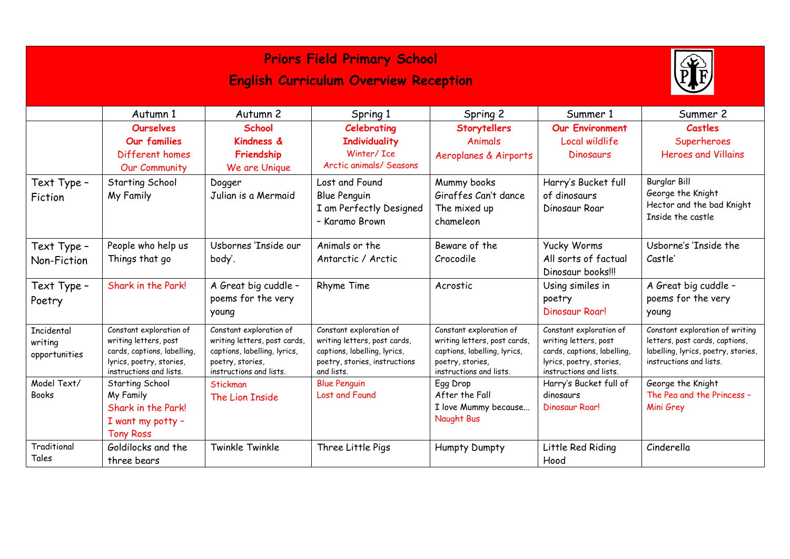|                                        | Autumn 1<br><b>Ourselves</b>                                                                                                           | Autumn <sub>2</sub><br><b>School</b>                                                                                                   | Spring 1<br>Celebrating                                                                                                                | Spring 2<br><b>Storytellers</b>                                                                                                        | Summer 1<br><b>Our Environment</b>                                                                                                     | Summer 2<br><b>Castles</b>                                                                                                          |
|----------------------------------------|----------------------------------------------------------------------------------------------------------------------------------------|----------------------------------------------------------------------------------------------------------------------------------------|----------------------------------------------------------------------------------------------------------------------------------------|----------------------------------------------------------------------------------------------------------------------------------------|----------------------------------------------------------------------------------------------------------------------------------------|-------------------------------------------------------------------------------------------------------------------------------------|
|                                        | <b>Our families</b><br>Different homes<br><b>Our Community</b>                                                                         | <b>Kindness &amp;</b><br>Friendship<br>We are Unique                                                                                   | <b>Individuality</b><br>Winter/ Ice<br>Arctic animals/ Seasons                                                                         | <b>Animals</b><br>Aeroplanes & Airports                                                                                                | Local wildlife<br>Dinosaurs                                                                                                            | Superheroes<br><b>Heroes and Villains</b>                                                                                           |
| Text Type -<br>Fiction                 | Starting School<br>My Family                                                                                                           | Dogger<br>Julian is a Mermaid                                                                                                          | Lost and Found<br><b>Blue Penguin</b><br>I am Perfectly Designed<br>- Karamo Brown                                                     | Mummy books<br>Giraffes Can't dance<br>The mixed up<br>chameleon                                                                       | Harry's Bucket full<br>of dinosaurs<br>Dinosaur Roar                                                                                   | <b>Burglar Bill</b><br>George the Knight<br>Hector and the bad Knight<br>Inside the castle                                          |
| Text Type -<br>Non-Fiction             | People who help us<br>Things that go                                                                                                   | Usbornes 'Inside our<br>body'.                                                                                                         | Animals or the<br>Antarctic / Arctic                                                                                                   | Beware of the<br>Crocodile                                                                                                             | <b>Yucky Worms</b><br>All sorts of factual<br>Dinosaur books!!!                                                                        | Usborne's 'Inside the<br>Castle'                                                                                                    |
| Text Type -<br>Poetry                  | Shark in the Park!                                                                                                                     | A Great big cuddle -<br>poems for the very<br>young                                                                                    | Rhyme Time                                                                                                                             | Acrostic                                                                                                                               | Using similes in<br>poetry<br>Dinosaur Roar!                                                                                           | A Great big cuddle -<br>poems for the very<br>young                                                                                 |
| Incidental<br>writing<br>opportunities | Constant exploration of<br>writing letters, post<br>cards, captions, labelling,<br>lyrics, poetry, stories,<br>instructions and lists. | Constant exploration of<br>writing letters, post cards,<br>captions, labelling, lyrics,<br>poetry, stories,<br>instructions and lists. | Constant exploration of<br>writing letters, post cards,<br>captions, labelling, lyrics,<br>poetry, stories, instructions<br>and lists. | Constant exploration of<br>writing letters, post cards,<br>captions, labelling, lyrics,<br>poetry, stories,<br>instructions and lists. | Constant exploration of<br>writing letters, post<br>cards, captions, labelling,<br>lyrics, poetry, stories,<br>instructions and lists. | Constant exploration of writing<br>letters, post cards, captions,<br>labelling, lyrics, poetry, stories,<br>instructions and lists. |
| Model Text/<br><b>Books</b>            | Starting School<br>My Family<br>Shark in the Park!<br>I want my potty -<br><b>Tony Ross</b>                                            | Stickman<br>The Lion Inside                                                                                                            | <b>Blue Penguin</b><br>Lost and Found                                                                                                  | Egg Drop<br>After the Fall<br>I love Mummy because<br>Naught Bus                                                                       | Harry's Bucket full of<br>dinosaurs<br>Dinosaur Roar!                                                                                  | George the Knight<br>The Pea and the Princess -<br>Mini Grey                                                                        |
| Traditional<br>Tales                   | Goldilocks and the<br>three bears                                                                                                      | Twinkle Twinkle                                                                                                                        | Three Little Pigs                                                                                                                      | <b>Humpty Dumpty</b>                                                                                                                   | Little Red Riding<br>Hood                                                                                                              | Cinderella                                                                                                                          |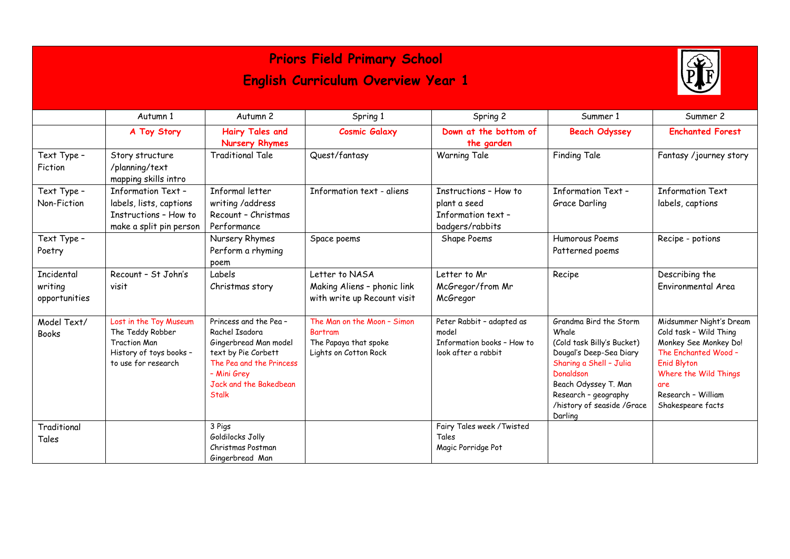| <b>Priors Field Primary School</b>        |                                                                                                                     |                                                                                                                                                                              |                                                                                          |                                                                                         |                                                                                                                                                                                                                           |                                                                                                                                                                                                     |  |
|-------------------------------------------|---------------------------------------------------------------------------------------------------------------------|------------------------------------------------------------------------------------------------------------------------------------------------------------------------------|------------------------------------------------------------------------------------------|-----------------------------------------------------------------------------------------|---------------------------------------------------------------------------------------------------------------------------------------------------------------------------------------------------------------------------|-----------------------------------------------------------------------------------------------------------------------------------------------------------------------------------------------------|--|
| <b>English Curriculum Overview Year 1</b> |                                                                                                                     |                                                                                                                                                                              |                                                                                          |                                                                                         |                                                                                                                                                                                                                           |                                                                                                                                                                                                     |  |
|                                           | Autumn 1                                                                                                            | Autumn 2                                                                                                                                                                     | Spring 1                                                                                 | Spring 2                                                                                | Summer 1                                                                                                                                                                                                                  | Summer 2                                                                                                                                                                                            |  |
|                                           | A Toy Story                                                                                                         | <b>Hairy Tales and</b><br><b>Nursery Rhymes</b>                                                                                                                              | <b>Cosmic Galaxy</b>                                                                     | Down at the bottom of<br>the garden                                                     | <b>Beach Odyssey</b>                                                                                                                                                                                                      | <b>Enchanted Forest</b>                                                                                                                                                                             |  |
| Text Type -<br>Fiction                    | Story structure<br>/planning/text<br>mapping skills intro                                                           | <b>Traditional Tale</b>                                                                                                                                                      | Quest/fantasy                                                                            | <b>Warning Tale</b>                                                                     | Finding Tale                                                                                                                                                                                                              | Fantasy /journey story                                                                                                                                                                              |  |
| Text Type -<br>Non-Fiction                | <b>Information Text-</b><br>labels, lists, captions<br>Instructions - How to<br>make a split pin person             | Informal letter<br>writing /address<br>Recount - Christmas<br>Performance                                                                                                    | Information text - aliens                                                                | Instructions - How to<br>plant a seed<br>Information text -<br>badgers/rabbits          | <b>Information Text-</b><br>Grace Darling                                                                                                                                                                                 | <b>Information Text</b><br>labels, captions                                                                                                                                                         |  |
| Text Type -<br>Poetry                     |                                                                                                                     | Nursery Rhymes<br>Perform a rhyming<br>poem                                                                                                                                  | Space poems                                                                              | Shape Poems                                                                             | Humorous Poems<br>Patterned poems                                                                                                                                                                                         | Recipe - potions                                                                                                                                                                                    |  |
| Incidental<br>writing<br>opportunities    | Recount - St John's<br>visit                                                                                        | Labels<br>Christmas story                                                                                                                                                    | Letter to NASA<br>Making Aliens - phonic link<br>with write up Recount visit             | Letter to Mr<br>McGregor/from Mr<br>McGregor                                            | Recipe                                                                                                                                                                                                                    | Describing the<br>Environmental Area                                                                                                                                                                |  |
| Model Text/<br><b>Books</b>               | Lost in the Toy Museum<br>The Teddy Robber<br><b>Traction Man</b><br>History of toys books -<br>to use for research | Princess and the Pea-<br>Rachel Isadora<br>Gingerbread Man model<br>text by Pie Corbett<br>The Pea and the Princess<br>- Mini Grey<br>Jack and the Bakedbean<br><b>Stalk</b> | The Man on the Moon - Simon<br>Bartram<br>The Papaya that spoke<br>Lights on Cotton Rock | Peter Rabbit - adapted as<br>model<br>Information books - How to<br>look after a rabbit | Grandma Bird the Storm<br>Whale<br>(Cold task Billy's Bucket)<br>Dougal's Deep-Sea Diary<br>Sharing a Shell - Julia<br>Donaldson<br>Beach Odyssey T. Man<br>Research - geography<br>/history of seaside /Grace<br>Darling | Midsummer Night's Dream<br>Cold task - Wild Thing<br>Monkey See Monkey Do!<br>The Enchanted Wood -<br><b>Enid Blyton</b><br>Where the Wild Things<br>are<br>Research - William<br>Shakespeare facts |  |
| Traditional<br>Tales                      |                                                                                                                     | 3 Pigs<br>Goldilocks Jolly<br>Christmas Postman<br>Gingerbread Man                                                                                                           |                                                                                          | Fairy Tales week / Twisted<br>Tales<br>Magic Porridge Pot                               |                                                                                                                                                                                                                           |                                                                                                                                                                                                     |  |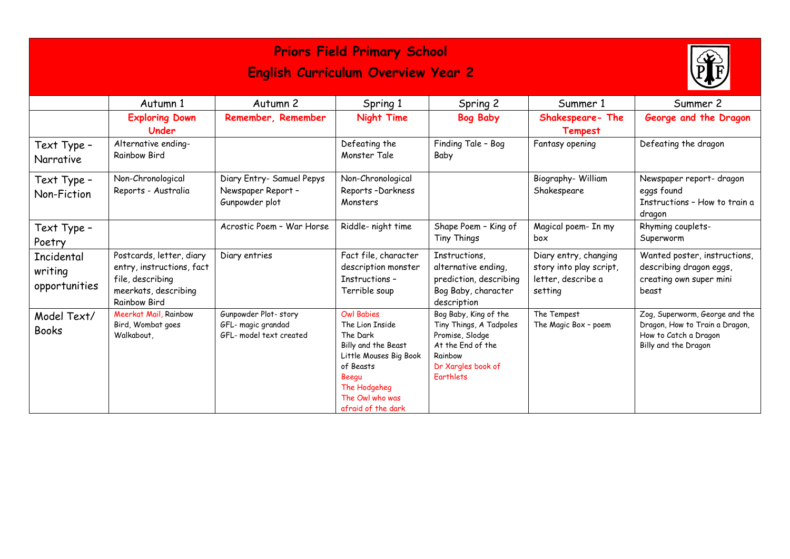| <b>Priors Field Primary School</b><br><b>English Curriculum Overview Year 2</b> |                                                                                                                   |                                                                       |                                                                                                                                                                                  |                                                                                                                                        |                                                                                   |                                                                                                                   |
|---------------------------------------------------------------------------------|-------------------------------------------------------------------------------------------------------------------|-----------------------------------------------------------------------|----------------------------------------------------------------------------------------------------------------------------------------------------------------------------------|----------------------------------------------------------------------------------------------------------------------------------------|-----------------------------------------------------------------------------------|-------------------------------------------------------------------------------------------------------------------|
|                                                                                 | Autumn 1                                                                                                          | Autumn 2                                                              | Spring 1                                                                                                                                                                         | Spring 2                                                                                                                               | Summer 1                                                                          | Summer 2                                                                                                          |
|                                                                                 | <b>Exploring Down</b><br>Under                                                                                    | Remember, Remember                                                    | Night Time                                                                                                                                                                       | <b>Bog Baby</b>                                                                                                                        | Shakespeare-The<br><b>Tempest</b>                                                 | George and the Dragon                                                                                             |
| Text Type -<br>Narrative                                                        | Alternative ending-<br><b>Rainbow Bird</b>                                                                        |                                                                       | Defeating the<br>Monster Tale                                                                                                                                                    | Finding Tale - Bog<br>Baby                                                                                                             | Fantasy opening                                                                   | Defeating the dragon                                                                                              |
| Text Type -<br>Non-Fiction                                                      | Non-Chronological<br>Reports - Australia                                                                          | Diary Entry- Samuel Pepys<br>Newspaper Report -<br>Gunpowder plot     | Non-Chronological<br>Reports-Darkness<br>Monsters                                                                                                                                |                                                                                                                                        | Biography- William<br>Shakespeare                                                 | Newspaper report- dragon<br>eggs found<br>Instructions - How to train a<br>dragon                                 |
| Text Type -<br>Poetry                                                           |                                                                                                                   | Acrostic Poem - War Horse                                             | Riddle- night time                                                                                                                                                               | Shape Poem - King of<br>Tiny Things                                                                                                    | Magical poem- In my<br>box                                                        | Rhyming couplets-<br>Superworm                                                                                    |
| Incidental<br>writing<br>opportunities                                          | Postcards, letter, diary<br>entry, instructions, fact<br>file, describing<br>meerkats, describing<br>Rainbow Bird | Diary entries                                                         | Fact file, character<br>description monster<br>Instructions -<br>Terrible soup                                                                                                   | Instructions,<br>alternative ending,<br>prediction, describing<br>Bog Baby, character<br>description                                   | Diary entry, changing<br>story into play script,<br>letter, describe a<br>setting | Wanted poster, instructions,<br>describing dragon eggs,<br>creating own super mini<br>beast                       |
| Model Text/<br><b>Books</b>                                                     | Meerkat Mail, Rainbow<br>Bird, Wombat goes<br>Walkabout,                                                          | Gunpowder Plot-story<br>GFL- magic grandad<br>GFL- model text created | <b>Owl Babies</b><br>The Lion Inside<br>The Dark<br>Billy and the Beast<br>Little Mouses Big Book<br>of Beasts<br>Beegu<br>The Hodgeheg<br>The Owl who was<br>afraid of the dark | Bog Baby, King of the<br>Tiny Things, A Tadpoles<br>Promise, Slodge<br>At the End of the<br>Rainbow<br>Dr Xargles book of<br>Farthlets | The Tempest<br>The Magic Box - poem                                               | Zog, Superworm, George and the<br>Dragon, How to Train a Dragon,<br>How to Catch a Dragon<br>Billy and the Dragon |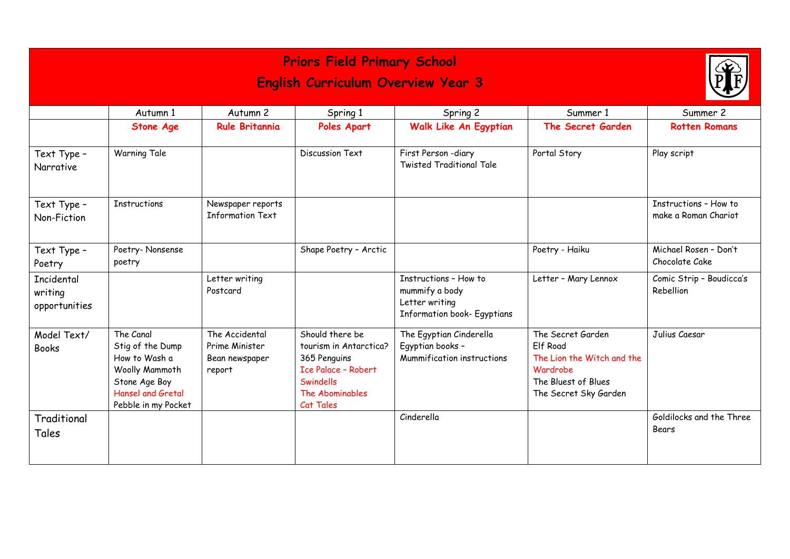| <b>Priors Field Primary School</b><br><b>English Curriculum Overview Year 3</b> |                                                                                                                               |                                                              |                                                                                                                                      |                                                                                                 |                                                                                                                                |                                               |  |  |
|---------------------------------------------------------------------------------|-------------------------------------------------------------------------------------------------------------------------------|--------------------------------------------------------------|--------------------------------------------------------------------------------------------------------------------------------------|-------------------------------------------------------------------------------------------------|--------------------------------------------------------------------------------------------------------------------------------|-----------------------------------------------|--|--|
|                                                                                 | Autumn 1<br><b>Stone Age</b>                                                                                                  | Autumn 2<br><b>Rule Britannia</b>                            | Spring 1<br>Poles Apart                                                                                                              | Spring 2<br>Walk Like An Egyptian                                                               | Summer 1<br>The Secret Garden                                                                                                  | Summer 2<br><b>Rotten Romans</b>              |  |  |
|                                                                                 |                                                                                                                               |                                                              |                                                                                                                                      |                                                                                                 |                                                                                                                                |                                               |  |  |
| Text Type -<br>Narrative                                                        | <b>Warning Tale</b>                                                                                                           |                                                              | Discussion Text                                                                                                                      | First Person -diary<br><b>Twisted Traditional Tale</b>                                          | Portal Story                                                                                                                   | Play script                                   |  |  |
| Text Type -<br>Non-Fiction                                                      | <b>Instructions</b>                                                                                                           | Newspaper reports<br><b>Information Text</b>                 |                                                                                                                                      |                                                                                                 |                                                                                                                                | Instructions - How to<br>make a Roman Chariot |  |  |
| Text Type -<br>Poetry                                                           | Poetry-Nonsense<br>poetry                                                                                                     |                                                              | Shape Poetry - Arctic                                                                                                                |                                                                                                 | Poetry - Haiku                                                                                                                 | Michael Rosen - Don't<br>Chocolate Cake       |  |  |
| Incidental<br>writing<br>opportunities                                          |                                                                                                                               | Letter writing<br>Postcard                                   |                                                                                                                                      | Instructions - How to<br>mummify a body<br>Letter writing<br><b>Information book- Egyptians</b> | Letter - Mary Lennox                                                                                                           | Comic Strip - Boudicca's<br>Rebellion         |  |  |
| Model Text/<br><b>Books</b>                                                     | The Canal<br>Stig of the Dump<br>How to Wash a<br>Woolly Mammoth<br>Stone Age Boy<br>Hansel and Gretal<br>Pebble in my Pocket | The Accidental<br>Prime Minister<br>Bean newspaper<br>report | Should there be<br>tourism in Antarctica?<br>365 Penguins<br><b>Ice Palace - Robert</b><br>Swindells<br>The Abominables<br>Cat Tales | The Egyptian Cinderella<br>Egyptian books -<br>Mummification instructions                       | The Secret Garden<br><b>Elf Road</b><br>The Lion the Witch and the<br>Wardrobe<br>The Bluest of Blues<br>The Secret Sky Garden | Julius Caesar                                 |  |  |
| Traditional<br>Tales                                                            |                                                                                                                               |                                                              |                                                                                                                                      | Cinderella                                                                                      |                                                                                                                                | Goldilocks and the Three<br>Bears             |  |  |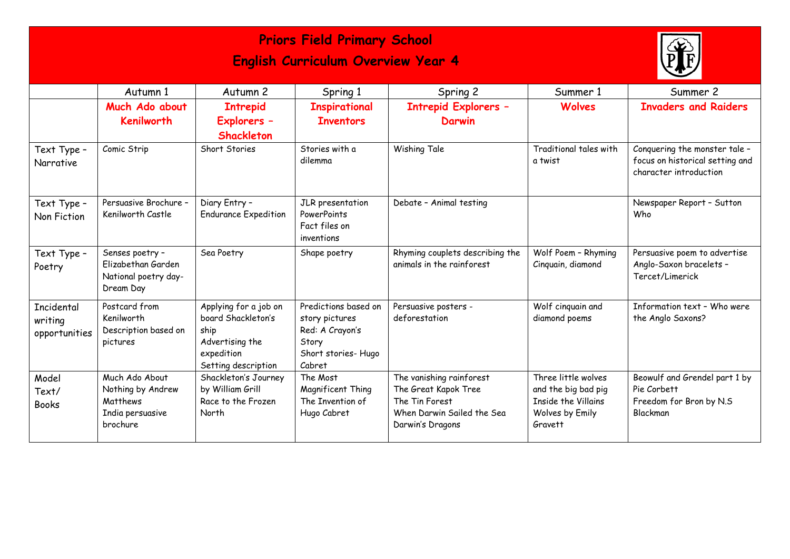| <b>Priors Field Primary School</b><br><b>English Curriculum Overview Year 4</b> |                                                                                 |                                                                                                             |                                                                                                    |                                                                                                                      |                                                                                                 |                                                                                            |  |  |
|---------------------------------------------------------------------------------|---------------------------------------------------------------------------------|-------------------------------------------------------------------------------------------------------------|----------------------------------------------------------------------------------------------------|----------------------------------------------------------------------------------------------------------------------|-------------------------------------------------------------------------------------------------|--------------------------------------------------------------------------------------------|--|--|
|                                                                                 | Autumn 1<br>Much Ado about<br><b>Kenilworth</b>                                 | Autumn 2<br><b>Intrepid</b><br>Explorers -<br>Shackleton                                                    | Spring 1<br><b>Inspirational</b><br><b>Inventors</b>                                               | Spring 2<br><b>Intrepid Explorers -</b><br>Darwin                                                                    | Summer 1<br><b>Wolves</b>                                                                       | Summer 2<br><b>Invaders and Raiders</b>                                                    |  |  |
| Text Type -<br>Narrative                                                        | Comic Strip                                                                     | Short Stories                                                                                               | Stories with a<br>dilemma                                                                          | Wishing Tale                                                                                                         | Traditional tales with<br>a twist                                                               | Conquering the monster tale -<br>focus on historical setting and<br>character introduction |  |  |
| Text Type -<br>Non Fiction                                                      | Persuasive Brochure -<br>Kenilworth Castle                                      | Diary Entry -<br><b>Endurance Expedition</b>                                                                | JLR presentation<br>PowerPoints<br>Fact files on<br>inventions                                     | Debate - Animal testing                                                                                              |                                                                                                 | Newspaper Report - Sutton<br>Who                                                           |  |  |
| Text Type -<br>Poetry                                                           | Senses poetry -<br>Elizabethan Garden<br>National poetry day-<br>Dream Day      | Sea Poetry                                                                                                  | Shape poetry                                                                                       | Rhyming couplets describing the<br>animals in the rainforest                                                         | Wolf Poem - Rhyming<br>Cinquain, diamond                                                        | Persuasive poem to advertise<br>Anglo-Saxon bracelets -<br>Tercet/Limerick                 |  |  |
| Incidental<br>writing<br>opportunities                                          | Postcard from<br>Kenilworth<br>Description based on<br>pictures                 | Applying for a job on<br>board Shackleton's<br>ship<br>Advertising the<br>expedition<br>Setting description | Predictions based on<br>story pictures<br>Red: A Crayon's<br>Story<br>Short stories-Hugo<br>Cabret | Persuasive posters -<br>deforestation                                                                                | Wolf cinquain and<br>diamond poems                                                              | Information text - Who were<br>the Anglo Saxons?                                           |  |  |
| Model<br>Text/<br><b>Books</b>                                                  | Much Ado About<br>Nothing by Andrew<br>Matthews<br>India persuasive<br>brochure | Shackleton's Journey<br>by William Grill<br>Race to the Frozen<br>North                                     | The Most<br>Magnificent Thing<br>The Invention of<br>Hugo Cabret                                   | The vanishing rainforest<br>The Great Kapok Tree<br>The Tin Forest<br>When Darwin Sailed the Sea<br>Darwin's Dragons | Three little wolves<br>and the big bad pig<br>Inside the Villains<br>Wolves by Emily<br>Gravett | Beowulf and Grendel part 1 by<br>Pie Corbett<br>Freedom for Bron by N.S<br>Blackman        |  |  |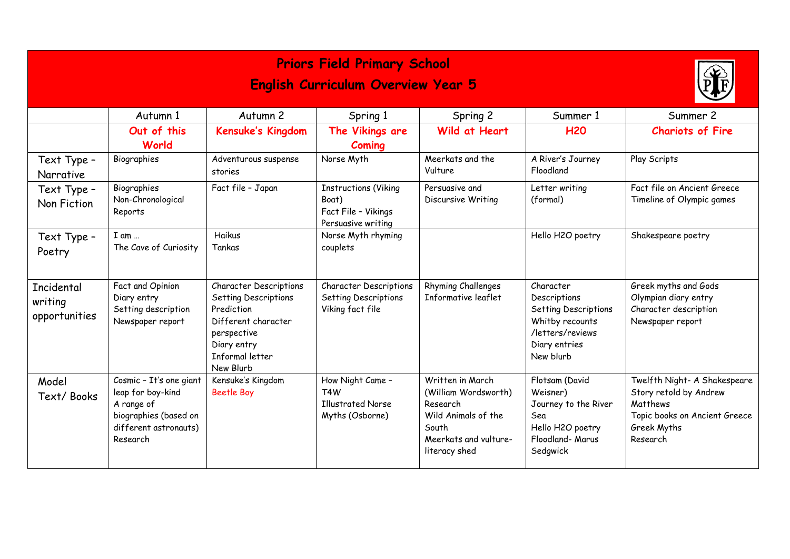| <b>Priors Field Primary School</b><br><b>English Curriculum Overview Year 5</b> |                                                                                                                          |                                                                                                                                                                 |                                                                                     |                                                                                                                                |                                                                                                                        |                                                                                                                                |  |  |
|---------------------------------------------------------------------------------|--------------------------------------------------------------------------------------------------------------------------|-----------------------------------------------------------------------------------------------------------------------------------------------------------------|-------------------------------------------------------------------------------------|--------------------------------------------------------------------------------------------------------------------------------|------------------------------------------------------------------------------------------------------------------------|--------------------------------------------------------------------------------------------------------------------------------|--|--|
|                                                                                 | Autumn 1                                                                                                                 | Autumn 2                                                                                                                                                        | Spring 1                                                                            | Spring 2                                                                                                                       | Summer 1                                                                                                               | Summer 2                                                                                                                       |  |  |
|                                                                                 | Out of this<br>World                                                                                                     | Kensuke's Kingdom                                                                                                                                               | The Vikings are<br>Coming                                                           | Wild at Heart                                                                                                                  | <b>H20</b>                                                                                                             | <b>Chariots of Fire</b>                                                                                                        |  |  |
| Text Type -<br><b>Narrative</b>                                                 | Biographies                                                                                                              | Adventurous suspense<br>stories                                                                                                                                 | Norse Myth                                                                          | Meerkats and the<br>Vulture                                                                                                    | A River's Journey<br>Floodland                                                                                         | Play Scripts                                                                                                                   |  |  |
| Text Type -<br>Non Fiction                                                      | Biographies<br>Non-Chronological<br>Reports                                                                              | Fact file - Japan                                                                                                                                               | <b>Instructions (Viking</b><br>Boat)<br>Fact File - Vikings<br>Persuasive writing   | Persuasive and<br>Discursive Writing                                                                                           | Letter writing<br>(formal)                                                                                             | Fact file on Ancient Greece<br>Timeline of Olympic games                                                                       |  |  |
| Text Type -<br>Poetry                                                           | $I$ am $\ldots$<br>The Cave of Curiosity                                                                                 | Haikus<br>Tankas                                                                                                                                                | Norse Myth rhyming<br>couplets                                                      |                                                                                                                                | Hello H2O poetry                                                                                                       | Shakespeare poetry                                                                                                             |  |  |
| Incidental<br>writing<br>opportunities                                          | Fact and Opinion<br>Diary entry<br>Setting description<br>Newspaper report                                               | <b>Character Descriptions</b><br><b>Setting Descriptions</b><br>Prediction<br>Different character<br>perspective<br>Diary entry<br>Informal letter<br>New Blurb | <b>Character Descriptions</b><br><b>Setting Descriptions</b><br>Viking fact file    | <b>Rhyming Challenges</b><br>Informative leaflet                                                                               | Character<br>Descriptions<br>Setting Descriptions<br>Whitby recounts<br>/letters/reviews<br>Diary entries<br>New blurb | Greek myths and Gods<br>Olympian diary entry<br>Character description<br>Newspaper report                                      |  |  |
| Model<br>Text/Books                                                             | Cosmic - It's one giant<br>leap for boy-kind<br>A range of<br>biographies (based on<br>different astronauts)<br>Research | Kensuke's Kingdom<br><b>Beetle Boy</b>                                                                                                                          | How Night Came -<br>T <sub>4</sub> W<br><b>Illustrated Norse</b><br>Myths (Osborne) | Written in March<br>(William Wordsworth)<br>Research<br>Wild Animals of the<br>South<br>Meerkats and vulture-<br>literacy shed | Flotsam (David<br>Weisner)<br>Journey to the River<br>Sea<br>Hello H2O poetry<br>Floodland- Marus<br>Sedgwick          | Twelfth Night- A Shakespeare<br>Story retold by Andrew<br>Matthews<br>Topic books on Ancient Greece<br>Greek Myths<br>Research |  |  |